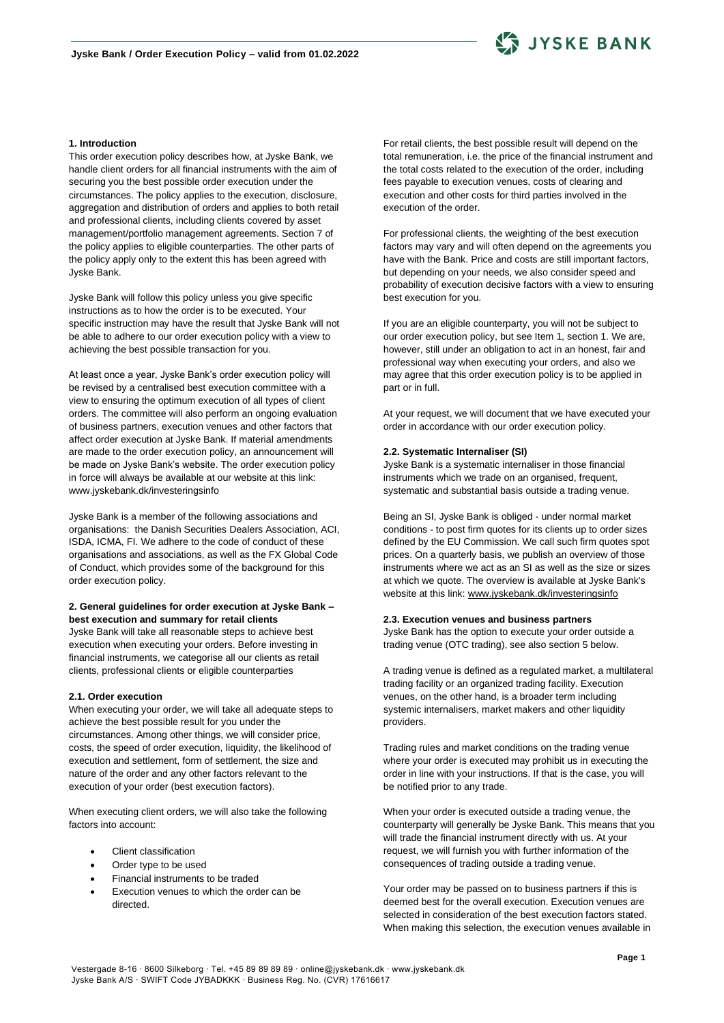

## **1. Introduction**

This order execution policy describes how, at Jyske Bank, we handle client orders for all financial instruments with the aim of securing you the best possible order execution under the circumstances. The policy applies to the execution, disclosure, aggregation and distribution of orders and applies to both retail and professional clients, including clients covered by asset management/portfolio management agreements. Section 7 of the policy applies to eligible counterparties. The other parts of the policy apply only to the extent this has been agreed with Jyske Bank.

Jyske Bank will follow this policy unless you give specific instructions as to how the order is to be executed. Your specific instruction may have the result that Jyske Bank will not be able to adhere to our order execution policy with a view to achieving the best possible transaction for you.

At least once a year, Jyske Bank's order execution policy will be revised by a centralised best execution committee with a view to ensuring the optimum execution of all types of client orders. The committee will also perform an ongoing evaluation of business partners, execution venues and other factors that affect order execution at Jyske Bank. If material amendments are made to the order execution policy, an announcement will be made on Jyske Bank's website. The order execution policy in force will always be available at our website at this link: www.jyskebank.dk/investeringsinfo

Jyske Bank is a member of the following associations and organisations: the Danish Securities Dealers Association, ACI, ISDA, ICMA, FI. We adhere to the code of conduct of these organisations and associations, as well as the FX Global Code of Conduct, which provides some of the background for this order execution policy.

## **2. General guidelines for order execution at Jyske Bank – best execution and summary for retail clients**

Jyske Bank will take all reasonable steps to achieve best execution when executing your orders. Before investing in financial instruments, we categorise all our clients as retail clients, professional clients or eligible counterparties

### **2.1. Order execution**

When executing your order, we will take all adequate steps to achieve the best possible result for you under the circumstances. Among other things, we will consider price, costs, the speed of order execution, liquidity, the likelihood of execution and settlement, form of settlement, the size and nature of the order and any other factors relevant to the execution of your order (best execution factors).

When executing client orders, we will also take the following factors into account:

- Client classification
- Order type to be used
- Financial instruments to be traded
- Execution venues to which the order can be directed.

For retail clients, the best possible result will depend on the total remuneration, i.e. the price of the financial instrument and the total costs related to the execution of the order, including fees payable to execution venues, costs of clearing and execution and other costs for third parties involved in the execution of the order.

For professional clients, the weighting of the best execution factors may vary and will often depend on the agreements you have with the Bank. Price and costs are still important factors, but depending on your needs, we also consider speed and probability of execution decisive factors with a view to ensuring best execution for you.

If you are an eligible counterparty, you will not be subject to our order execution policy, but see Item 1, section 1. We are, however, still under an obligation to act in an honest, fair and professional way when executing your orders, and also we may agree that this order execution policy is to be applied in part or in full.

At your request, we will document that we have executed your order in accordance with our order execution policy.

### **2.2. Systematic Internaliser (SI)**

Jyske Bank is a systematic internaliser in those financial instruments which we trade on an organised, frequent, systematic and substantial basis outside a trading venue.

Being an SI, Jyske Bank is obliged - under normal market conditions - to post firm quotes for its clients up to order sizes defined by the EU Commission. We call such firm quotes spot prices. On a quarterly basis, we publish an overview of those instruments where we act as an SI as well as the size or sizes at which we quote. The overview is available at Jyske Bank's website at this link[: www.jyskebank.dk/investeringsinfo](http://www.jyskebank.dk/investeringsinfo)

#### **2.3. Execution venues and business partners**

Jyske Bank has the option to execute your order outside a trading venue (OTC trading), see also section 5 below.

A trading venue is defined as a regulated market, a multilateral trading facility or an organized trading facility. Execution venues, on the other hand, is a broader term including systemic internalisers, market makers and other liquidity providers.

Trading rules and market conditions on the trading venue where your order is executed may prohibit us in executing the order in line with your instructions. If that is the case, you will be notified prior to any trade.

When your order is executed outside a trading venue, the counterparty will generally be Jyske Bank. This means that you will trade the financial instrument directly with us. At your request, we will furnish you with further information of the consequences of trading outside a trading venue.

Your order may be passed on to business partners if this is deemed best for the overall execution. Execution venues are selected in consideration of the best execution factors stated. When making this selection, the execution venues available in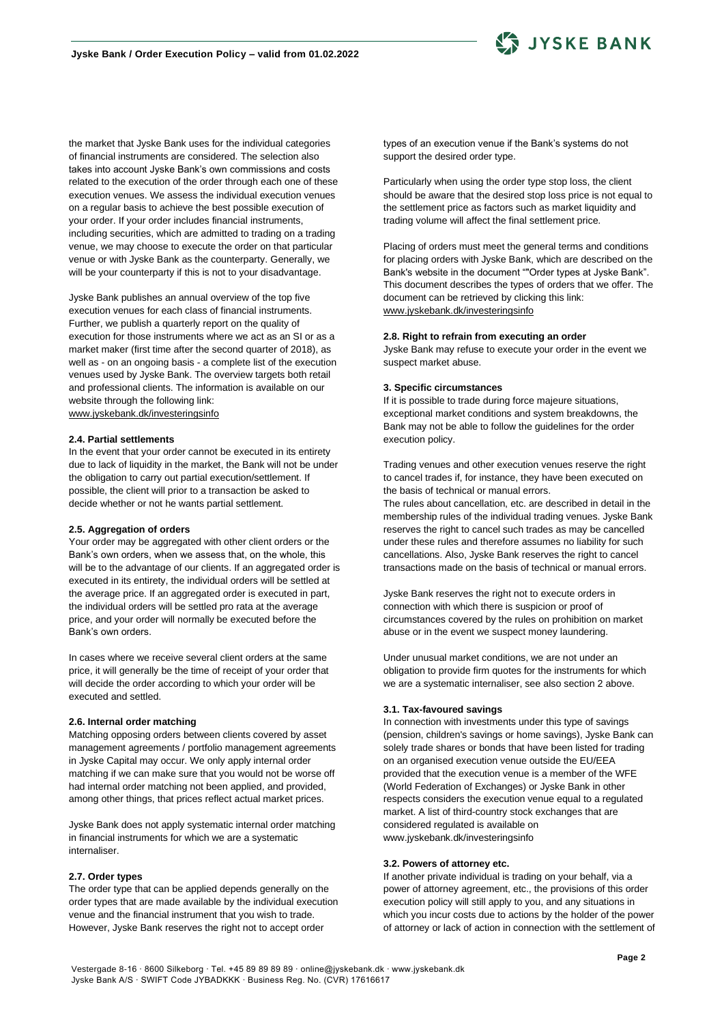

the market that Jyske Bank uses for the individual categories of financial instruments are considered. The selection also takes into account Jyske Bank's own commissions and costs related to the execution of the order through each one of these execution venues. We assess the individual execution venues on a regular basis to achieve the best possible execution of your order. If your order includes financial instruments, including securities, which are admitted to trading on a trading venue, we may choose to execute the order on that particular venue or with Jyske Bank as the counterparty. Generally, we will be your counterparty if this is not to your disadvantage.

Jyske Bank publishes an annual overview of the top five execution venues for each class of financial instruments. Further, we publish a quarterly report on the quality of execution for those instruments where we act as an SI or as a market maker (first time after the second quarter of 2018), as well as - on an ongoing basis - a complete list of the execution venues used by Jyske Bank. The overview targets both retail and professional clients. The information is available on our website through the following link: [www.jyskebank.dk/investeringsinfo](http://www.jyskebank.dk/investeringsinfo)

#### **2.4. Partial settlements**

In the event that your order cannot be executed in its entirety due to lack of liquidity in the market, the Bank will not be under the obligation to carry out partial execution/settlement. If possible, the client will prior to a transaction be asked to decide whether or not he wants partial settlement.

## **2.5. Aggregation of orders**

Your order may be aggregated with other client orders or the Bank's own orders, when we assess that, on the whole, this will be to the advantage of our clients. If an aggregated order is executed in its entirety, the individual orders will be settled at the average price. If an aggregated order is executed in part, the individual orders will be settled pro rata at the average price, and your order will normally be executed before the Bank's own orders.

In cases where we receive several client orders at the same price, it will generally be the time of receipt of your order that will decide the order according to which your order will be executed and settled.

#### **2.6. Internal order matching**

Matching opposing orders between clients covered by asset management agreements / portfolio management agreements in Jyske Capital may occur. We only apply internal order matching if we can make sure that you would not be worse off had internal order matching not been applied, and provided, among other things, that prices reflect actual market prices.

Jyske Bank does not apply systematic internal order matching in financial instruments for which we are a systematic internaliser.

#### **2.7. Order types**

The order type that can be applied depends generally on the order types that are made available by the individual execution venue and the financial instrument that you wish to trade. However, Jyske Bank reserves the right not to accept order

types of an execution venue if the Bank's systems do not support the desired order type.

Particularly when using the order type stop loss, the client should be aware that the desired stop loss price is not equal to the settlement price as factors such as market liquidity and trading volume will affect the final settlement price.

Placing of orders must meet the general terms and conditions for placing orders with Jyske Bank, which are described on the Bank's website in the document ""Order types at Jyske Bank". This document describes the types of orders that we offer. The document can be retrieved by clicking this link: [www.jyskebank.dk/investeringsinfo](http://www.jyskebank.dk/investeringsinfo)

#### **2.8. Right to refrain from executing an order**

Jyske Bank may refuse to execute your order in the event we suspect market abuse.

### **3. Specific circumstances**

If it is possible to trade during force majeure situations, exceptional market conditions and system breakdowns, the Bank may not be able to follow the guidelines for the order execution policy.

Trading venues and other execution venues reserve the right to cancel trades if, for instance, they have been executed on the basis of technical or manual errors.

The rules about cancellation, etc. are described in detail in the membership rules of the individual trading venues. Jyske Bank reserves the right to cancel such trades as may be cancelled under these rules and therefore assumes no liability for such cancellations. Also, Jyske Bank reserves the right to cancel transactions made on the basis of technical or manual errors.

Jyske Bank reserves the right not to execute orders in connection with which there is suspicion or proof of circumstances covered by the rules on prohibition on market abuse or in the event we suspect money laundering.

Under unusual market conditions, we are not under an obligation to provide firm quotes for the instruments for which we are a systematic internaliser, see also section 2 above.

## **3.1. Tax-favoured savings**

In connection with investments under this type of savings (pension, children's savings or home savings), Jyske Bank can solely trade shares or bonds that have been listed for trading on an organised execution venue outside the EU/EEA provided that the execution venue is a member of the WFE (World Federation of Exchanges) or Jyske Bank in other respects considers the execution venue equal to a regulated market. A list of third-country stock exchanges that are considered regulated is available on www.jyskebank.dk/investeringsinfo

## **3.2. Powers of attorney etc.**

If another private individual is trading on your behalf, via a power of attorney agreement, etc., the provisions of this order execution policy will still apply to you, and any situations in which you incur costs due to actions by the holder of the power of attorney or lack of action in connection with the settlement of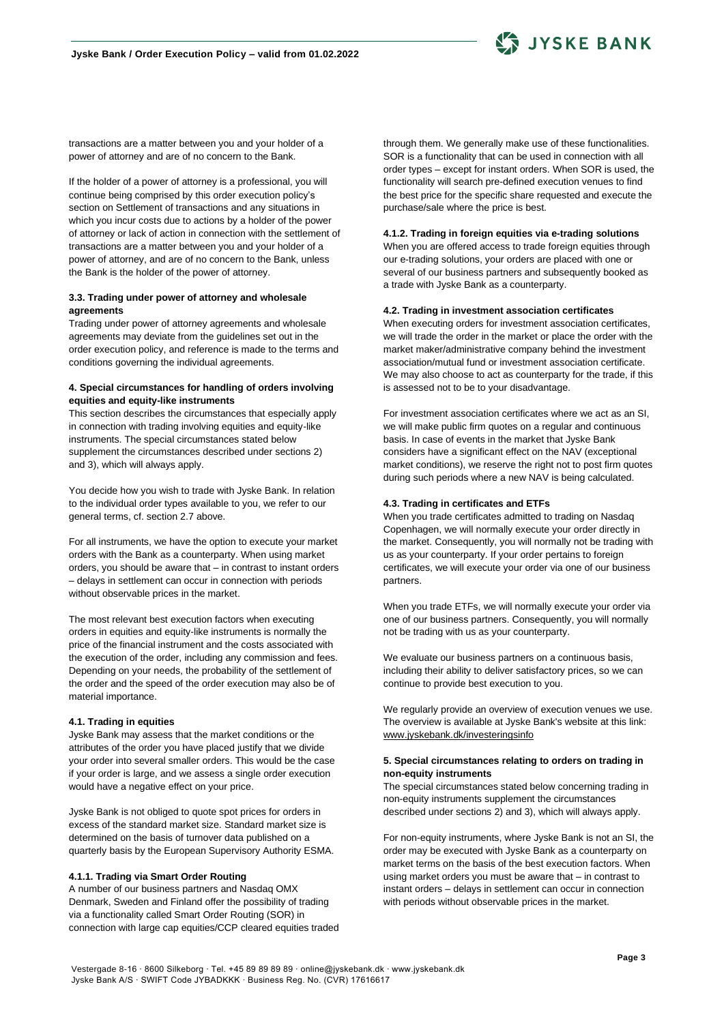

transactions are a matter between you and your holder of a power of attorney and are of no concern to the Bank.

If the holder of a power of attorney is a professional, you will continue being comprised by this order execution policy's section on Settlement of transactions and any situations in which you incur costs due to actions by a holder of the power of attorney or lack of action in connection with the settlement of transactions are a matter between you and your holder of a power of attorney, and are of no concern to the Bank, unless the Bank is the holder of the power of attorney.

## **3.3. Trading under power of attorney and wholesale agreements**

Trading under power of attorney agreements and wholesale agreements may deviate from the guidelines set out in the order execution policy, and reference is made to the terms and conditions governing the individual agreements.

## **4. Special circumstances for handling of orders involving equities and equity-like instruments**

This section describes the circumstances that especially apply in connection with trading involving equities and equity-like instruments. The special circumstances stated below supplement the circumstances described under sections 2) and 3), which will always apply.

You decide how you wish to trade with Jyske Bank. In relation to the individual order types available to you, we refer to our general terms, cf. section 2.7 above.

For all instruments, we have the option to execute your market orders with the Bank as a counterparty. When using market orders, you should be aware that – in contrast to instant orders – delays in settlement can occur in connection with periods without observable prices in the market.

The most relevant best execution factors when executing orders in equities and equity-like instruments is normally the price of the financial instrument and the costs associated with the execution of the order, including any commission and fees. Depending on your needs, the probability of the settlement of the order and the speed of the order execution may also be of material importance.

## **4.1. Trading in equities**

Jyske Bank may assess that the market conditions or the attributes of the order you have placed justify that we divide your order into several smaller orders. This would be the case if your order is large, and we assess a single order execution would have a negative effect on your price.

Jyske Bank is not obliged to quote spot prices for orders in excess of the standard market size. Standard market size is determined on the basis of turnover data published on a quarterly basis by the European Supervisory Authority ESMA.

## **4.1.1. Trading via Smart Order Routing**

A number of our business partners and Nasdaq OMX Denmark, Sweden and Finland offer the possibility of trading via a functionality called Smart Order Routing (SOR) in connection with large cap equities/CCP cleared equities traded through them. We generally make use of these functionalities. SOR is a functionality that can be used in connection with all order types – except for instant orders. When SOR is used, the functionality will search pre-defined execution venues to find the best price for the specific share requested and execute the purchase/sale where the price is best.

### **4.1.2. Trading in foreign equities via e-trading solutions**

When you are offered access to trade foreign equities through our e-trading solutions, your orders are placed with one or several of our business partners and subsequently booked as a trade with Jyske Bank as a counterparty.

## **4.2. Trading in investment association certificates**

When executing orders for investment association certificates, we will trade the order in the market or place the order with the market maker/administrative company behind the investment association/mutual fund or investment association certificate. We may also choose to act as counterparty for the trade, if this is assessed not to be to your disadvantage.

For investment association certificates where we act as an SI, we will make public firm quotes on a regular and continuous basis. In case of events in the market that Jyske Bank considers have a significant effect on the NAV (exceptional market conditions), we reserve the right not to post firm quotes during such periods where a new NAV is being calculated.

# **4.3. Trading in certificates and ETFs**

When you trade certificates admitted to trading on Nasdaq Copenhagen, we will normally execute your order directly in the market. Consequently, you will normally not be trading with us as your counterparty. If your order pertains to foreign certificates, we will execute your order via one of our business partners.

When you trade ETFs, we will normally execute your order via one of our business partners. Consequently, you will normally not be trading with us as your counterparty.

We evaluate our business partners on a continuous basis, including their ability to deliver satisfactory prices, so we can continue to provide best execution to you.

We regularly provide an overview of execution venues we use. The overview is available at Jyske Bank's website at this link: [www.jyskebank.dk/investeringsinfo](http://www.jyskebank.dk/investeringsinfo)

## **5. Special circumstances relating to orders on trading in non-equity instruments**

The special circumstances stated below concerning trading in non-equity instruments supplement the circumstances described under sections 2) and 3), which will always apply.

For non-equity instruments, where Jyske Bank is not an SI, the order may be executed with Jyske Bank as a counterparty on market terms on the basis of the best execution factors. When using market orders you must be aware that – in contrast to instant orders – delays in settlement can occur in connection with periods without observable prices in the market.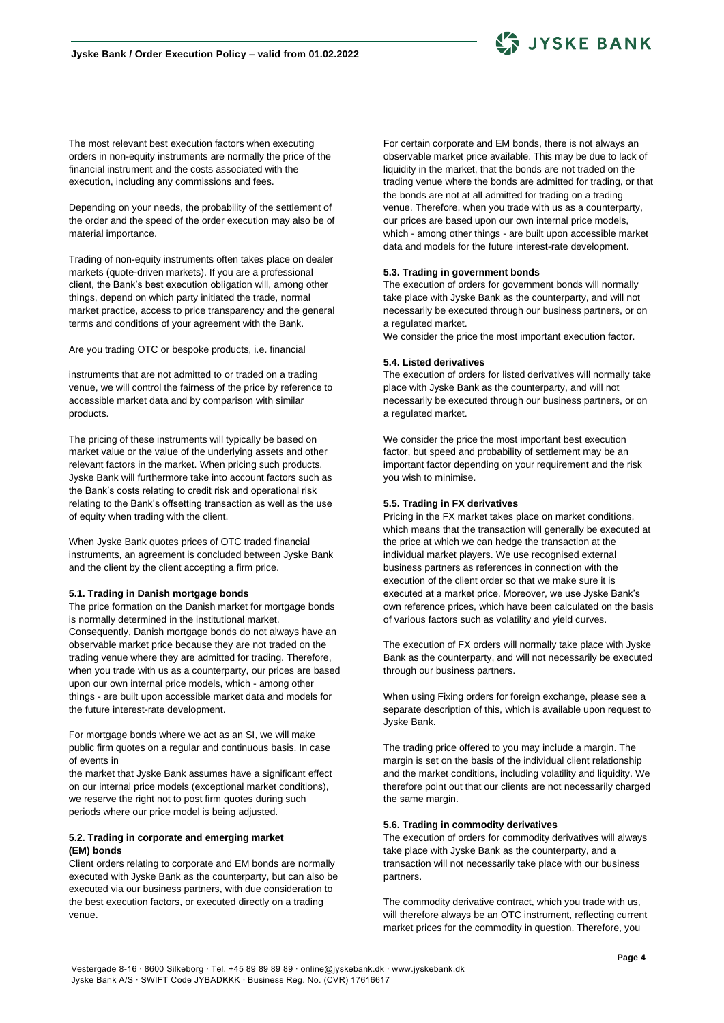

The most relevant best execution factors when executing orders in non-equity instruments are normally the price of the financial instrument and the costs associated with the execution, including any commissions and fees.

Depending on your needs, the probability of the settlement of the order and the speed of the order execution may also be of material importance.

Trading of non-equity instruments often takes place on dealer markets (quote-driven markets). If you are a professional client, the Bank's best execution obligation will, among other things, depend on which party initiated the trade, normal market practice, access to price transparency and the general terms and conditions of your agreement with the Bank.

Are you trading OTC or bespoke products, i.e. financial

instruments that are not admitted to or traded on a trading venue, we will control the fairness of the price by reference to accessible market data and by comparison with similar products.

The pricing of these instruments will typically be based on market value or the value of the underlying assets and other relevant factors in the market. When pricing such products, Jyske Bank will furthermore take into account factors such as the Bank's costs relating to credit risk and operational risk relating to the Bank's offsetting transaction as well as the use of equity when trading with the client.

When Jyske Bank quotes prices of OTC traded financial instruments, an agreement is concluded between Jyske Bank and the client by the client accepting a firm price.

## **5.1. Trading in Danish mortgage bonds**

The price formation on the Danish market for mortgage bonds is normally determined in the institutional market. Consequently, Danish mortgage bonds do not always have an observable market price because they are not traded on the trading venue where they are admitted for trading. Therefore, when you trade with us as a counterparty, our prices are based upon our own internal price models, which - among other things - are built upon accessible market data and models for the future interest-rate development.

For mortgage bonds where we act as an SI, we will make public firm quotes on a regular and continuous basis. In case of events in

the market that Jyske Bank assumes have a significant effect on our internal price models (exceptional market conditions), we reserve the right not to post firm quotes during such periods where our price model is being adjusted.

## **5.2. Trading in corporate and emerging market (EM) bonds**

Client orders relating to corporate and EM bonds are normally executed with Jyske Bank as the counterparty, but can also be executed via our business partners, with due consideration to the best execution factors, or executed directly on a trading venue.

For certain corporate and EM bonds, there is not always an observable market price available. This may be due to lack of liquidity in the market, that the bonds are not traded on the trading venue where the bonds are admitted for trading, or that the bonds are not at all admitted for trading on a trading venue. Therefore, when you trade with us as a counterparty, our prices are based upon our own internal price models, which - among other things - are built upon accessible market data and models for the future interest-rate development.

### **5.3. Trading in government bonds**

The execution of orders for government bonds will normally take place with Jyske Bank as the counterparty, and will not necessarily be executed through our business partners, or on a regulated market.

We consider the price the most important execution factor.

#### **5.4. Listed derivatives**

The execution of orders for listed derivatives will normally take place with Jyske Bank as the counterparty, and will not necessarily be executed through our business partners, or on a regulated market.

We consider the price the most important best execution factor, but speed and probability of settlement may be an important factor depending on your requirement and the risk you wish to minimise.

#### **5.5. Trading in FX derivatives**

Pricing in the FX market takes place on market conditions, which means that the transaction will generally be executed at the price at which we can hedge the transaction at the individual market players. We use recognised external business partners as references in connection with the execution of the client order so that we make sure it is executed at a market price. Moreover, we use Jyske Bank's own reference prices, which have been calculated on the basis of various factors such as volatility and yield curves.

The execution of FX orders will normally take place with Jyske Bank as the counterparty, and will not necessarily be executed through our business partners.

When using Fixing orders for foreign exchange, please see a separate description of this, which is available upon request to Jyske Bank.

The trading price offered to you may include a margin. The margin is set on the basis of the individual client relationship and the market conditions, including volatility and liquidity. We therefore point out that our clients are not necessarily charged the same margin.

### **5.6. Trading in commodity derivatives**

The execution of orders for commodity derivatives will always take place with Jyske Bank as the counterparty, and a transaction will not necessarily take place with our business partners.

The commodity derivative contract, which you trade with us, will therefore always be an OTC instrument, reflecting current market prices for the commodity in question. Therefore, you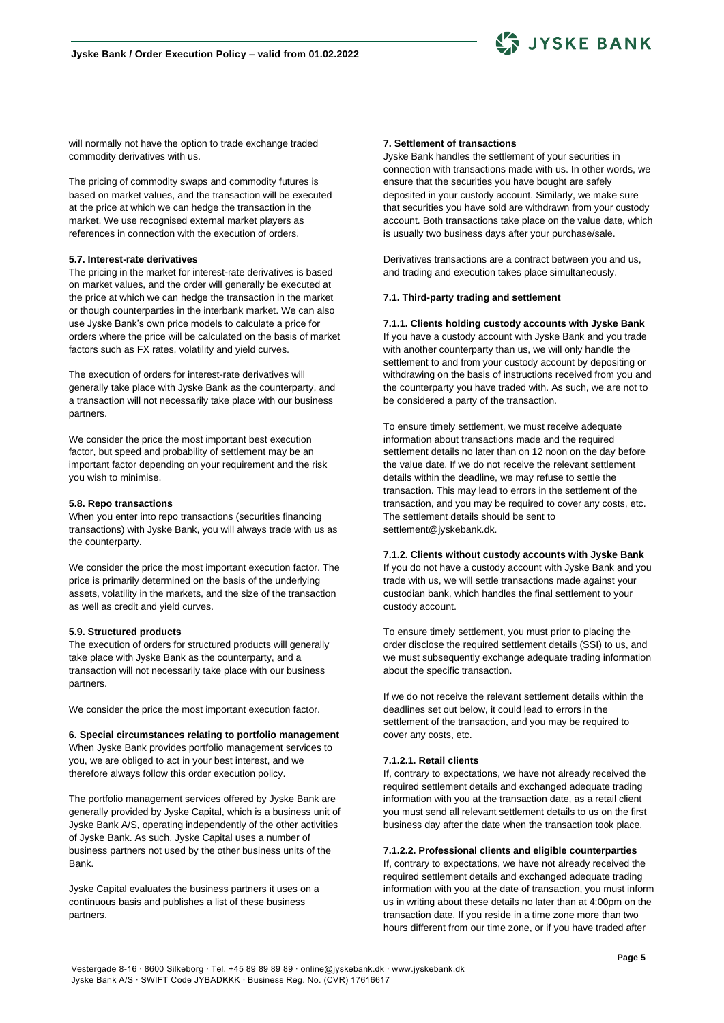

will normally not have the option to trade exchange traded commodity derivatives with us.

The pricing of commodity swaps and commodity futures is based on market values, and the transaction will be executed at the price at which we can hedge the transaction in the market. We use recognised external market players as references in connection with the execution of orders.

## **5.7. Interest-rate derivatives**

The pricing in the market for interest-rate derivatives is based on market values, and the order will generally be executed at the price at which we can hedge the transaction in the market or though counterparties in the interbank market. We can also use Jyske Bank's own price models to calculate a price for orders where the price will be calculated on the basis of market factors such as FX rates, volatility and yield curves.

The execution of orders for interest-rate derivatives will generally take place with Jyske Bank as the counterparty, and a transaction will not necessarily take place with our business partners.

We consider the price the most important best execution factor, but speed and probability of settlement may be an important factor depending on your requirement and the risk you wish to minimise.

#### **5.8. Repo transactions**

When you enter into repo transactions (securities financing transactions) with Jyske Bank, you will always trade with us as the counterparty.

We consider the price the most important execution factor. The price is primarily determined on the basis of the underlying assets, volatility in the markets, and the size of the transaction as well as credit and yield curves.

## **5.9. Structured products**

The execution of orders for structured products will generally take place with Jyske Bank as the counterparty, and a transaction will not necessarily take place with our business partners.

We consider the price the most important execution factor.

## **6. Special circumstances relating to portfolio management** When Jyske Bank provides portfolio management services to you, we are obliged to act in your best interest, and we therefore always follow this order execution policy.

The portfolio management services offered by Jyske Bank are generally provided by Jyske Capital, which is a business unit of Jyske Bank A/S, operating independently of the other activities of Jyske Bank. As such, Jyske Capital uses a number of business partners not used by the other business units of the Bank.

Jyske Capital evaluates the business partners it uses on a continuous basis and publishes a list of these business partners.

## **7. Settlement of transactions**

Jyske Bank handles the settlement of your securities in connection with transactions made with us. In other words, we ensure that the securities you have bought are safely deposited in your custody account. Similarly, we make sure that securities you have sold are withdrawn from your custody account. Both transactions take place on the value date, which is usually two business days after your purchase/sale.

Derivatives transactions are a contract between you and us, and trading and execution takes place simultaneously.

### **7.1. Third-party trading and settlement**

### **7.1.1. Clients holding custody accounts with Jyske Bank**

If you have a custody account with Jyske Bank and you trade with another counterparty than us, we will only handle the settlement to and from your custody account by depositing or withdrawing on the basis of instructions received from you and the counterparty you have traded with. As such, we are not to be considered a party of the transaction.

To ensure timely settlement, we must receive adequate information about transactions made and the required settlement details no later than on 12 noon on the day before the value date. If we do not receive the relevant settlement details within the deadline, we may refuse to settle the transaction. This may lead to errors in the settlement of the transaction, and you may be required to cover any costs, etc. The settlement details should be sent to settlement@jyskebank.dk.

**7.1.2. Clients without custody accounts with Jyske Bank** If you do not have a custody account with Jyske Bank and you trade with us, we will settle transactions made against your custodian bank, which handles the final settlement to your custody account.

To ensure timely settlement, you must prior to placing the order disclose the required settlement details (SSI) to us, and we must subsequently exchange adequate trading information about the specific transaction.

If we do not receive the relevant settlement details within the deadlines set out below, it could lead to errors in the settlement of the transaction, and you may be required to cover any costs, etc.

## **7.1.2.1. Retail clients**

If, contrary to expectations, we have not already received the required settlement details and exchanged adequate trading information with you at the transaction date, as a retail client you must send all relevant settlement details to us on the first business day after the date when the transaction took place.

#### **7.1.2.2. Professional clients and eligible counterparties**

If, contrary to expectations, we have not already received the required settlement details and exchanged adequate trading information with you at the date of transaction, you must inform us in writing about these details no later than at 4:00pm on the transaction date. If you reside in a time zone more than two hours different from our time zone, or if you have traded after